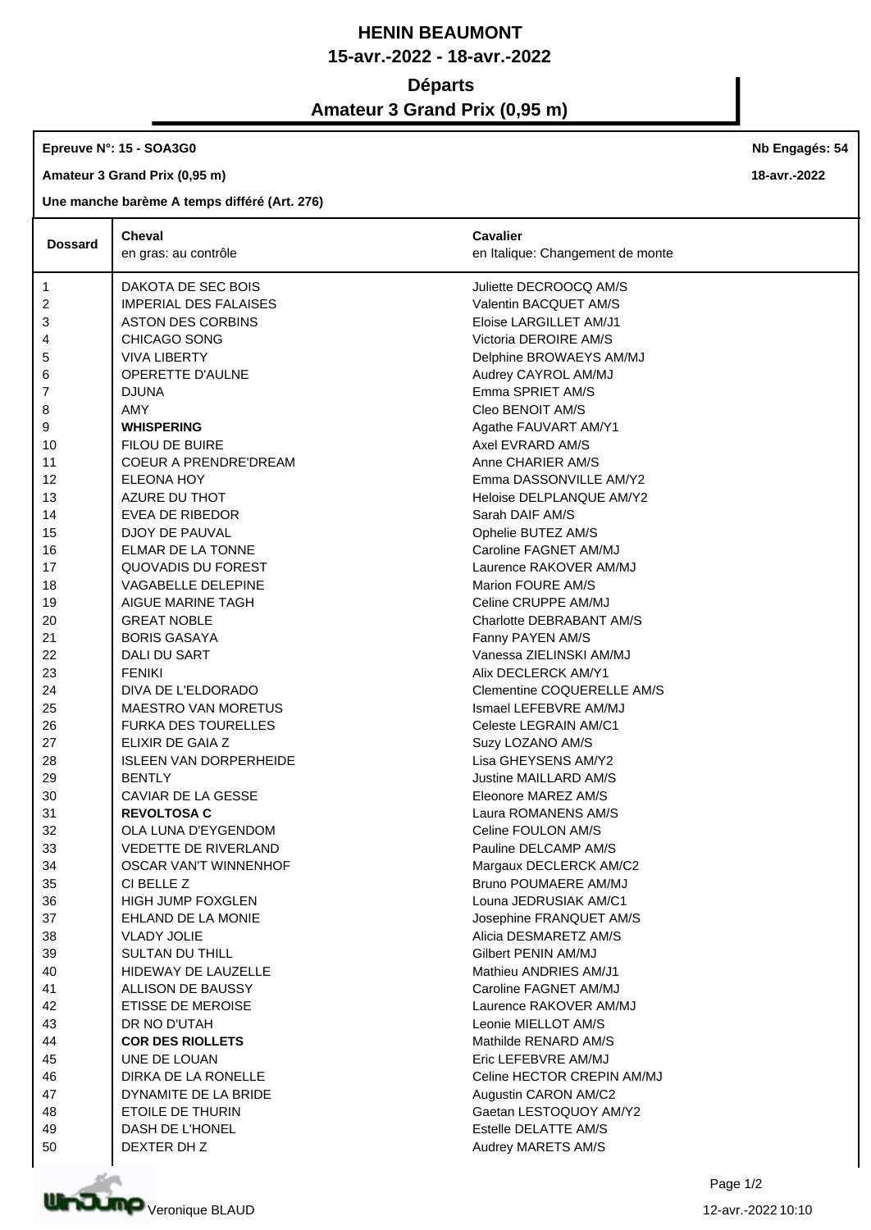## **HENIN BEAUMONT 15-avr.-2022 - 18-avr.-2022**

## **Départs**

# **Amateur 3 Grand Prix (0,95 m)**

#### **Epreuve N°: 15 - SOA3G0**

**Amateur 3 Grand Prix (0,95 m)**

### **Une manche barème A temps différé (Art. 276)**

|                | <b>Cheval</b>                 | Cavalier                         |
|----------------|-------------------------------|----------------------------------|
| <b>Dossard</b> | en gras: au contrôle          | en Italique: Changement de monte |
| $\mathbf{1}$   | DAKOTA DE SEC BOIS            | Juliette DECROOCQ AM/S           |
| 2              | <b>IMPERIAL DES FALAISES</b>  | Valentin BACQUET AM/S            |
| 3              | <b>ASTON DES CORBINS</b>      | Eloise LARGILLET AM/J1           |
| 4              | CHICAGO SONG                  | Victoria DEROIRE AM/S            |
| 5              | <b>VIVA LIBERTY</b>           | Delphine BROWAEYS AM/MJ          |
| 6              | <b>OPERETTE D'AULNE</b>       | Audrey CAYROL AM/MJ              |
| 7              | <b>DJUNA</b>                  | Emma SPRIET AM/S                 |
| 8              | AMY                           | Cleo BENOIT AM/S                 |
| 9              | <b>WHISPERING</b>             | Agathe FAUVART AM/Y1             |
| 10             | FILOU DE BUIRE                | Axel EVRARD AM/S                 |
| 11             | <b>COEUR A PRENDRE'DREAM</b>  | Anne CHARIER AM/S                |
| 12             | ELEONA HOY                    | Emma DASSONVILLE AM/Y2           |
| 13             | AZURE DU THOT                 | Heloise DELPLANQUE AM/Y2         |
| 14             | EVEA DE RIBEDOR               | Sarah DAIF AM/S                  |
| 15             | DJOY DE PAUVAL                | Ophelie BUTEZ AM/S               |
| 16             | ELMAR DE LA TONNE             | Caroline FAGNET AM/MJ            |
| 17             | QUOVADIS DU FOREST            | Laurence RAKOVER AM/MJ           |
| 18             | VAGABELLE DELEPINE            | Marion FOURE AM/S                |
| 19             | AIGUE MARINE TAGH             | Celine CRUPPE AM/MJ              |
| 20             | <b>GREAT NOBLE</b>            | Charlotte DEBRABANT AM/S         |
| 21             | <b>BORIS GASAYA</b>           | Fanny PAYEN AM/S                 |
| 22             | DALI DU SART                  | Vanessa ZIELINSKI AM/MJ          |
| 23             | <b>FENIKI</b>                 | Alix DECLERCK AM/Y1              |
| 24             | DIVA DE L'ELDORADO            | Clementine COQUERELLE AM/S       |
| 25             | <b>MAESTRO VAN MORETUS</b>    | Ismael LEFEBVRE AM/MJ            |
| 26             | <b>FURKA DES TOURELLES</b>    | Celeste LEGRAIN AM/C1            |
| 27             | ELIXIR DE GAIA Z              | Suzy LOZANO AM/S                 |
| 28             | <b>ISLEEN VAN DORPERHEIDE</b> | Lisa GHEYSENS AM/Y2              |
| 29             | <b>BENTLY</b>                 | Justine MAILLARD AM/S            |
| 30             | CAVIAR DE LA GESSE            | Eleonore MAREZ AM/S              |
| 31             | <b>REVOLTOSA C</b>            | Laura ROMANENS AM/S              |
| 32             | OLA LUNA D'EYGENDOM           | Celine FOULON AM/S               |
| 33             | VEDETTE DE RIVERLAND          | Pauline DELCAMP AM/S             |
| 34             | OSCAR VAN'T WINNENHOF         | Margaux DECLERCK AM/C2           |
| 35             | CI BELLE Z                    | Bruno POUMAERE AM/MJ             |
| 36             | <b>HIGH JUMP FOXGLEN</b>      | Louna JEDRUSIAK AM/C1            |
| 37             | EHLAND DE LA MONIE            | Josephine FRANQUET AM/S          |
| 38             | <b>VLADY JOLIE</b>            | Alicia DESMARETZ AM/S            |
| 39             | <b>SULTAN DU THILL</b>        | Gilbert PENIN AM/MJ              |
| 40             | HIDEWAY DE LAUZELLE           | Mathieu ANDRIES AM/J1            |
| 41             | ALLISON DE BAUSSY             | Caroline FAGNET AM/MJ            |
| 42             | <b>ETISSE DE MEROISE</b>      | Laurence RAKOVER AM/MJ           |
| 43             | DR NO D'UTAH                  | Leonie MIELLOT AM/S              |
| 44             | <b>COR DES RIOLLETS</b>       | Mathilde RENARD AM/S             |
| 45             | UNE DE LOUAN                  | Eric LEFEBVRE AM/MJ              |
| 46             | DIRKA DE LA RONELLE           | Celine HECTOR CREPIN AM/MJ       |
| 47             | DYNAMITE DE LA BRIDE          | Augustin CARON AM/C2             |
| 48             | ETOILE DE THURIN              | Gaetan LESTOQUOY AM/Y2           |
| 49             | DASH DE L'HONEL               | Estelle DELATTE AM/S             |
| 50             | DEXTER DH Z                   | Audrey MARETS AM/S               |



**Nb Engagés: 54**

**18-avr.-2022**